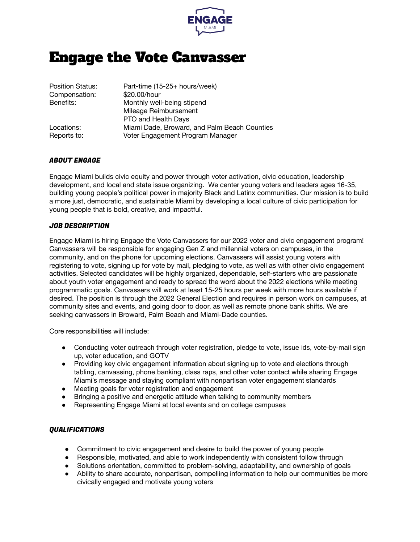

## Engage the Vote Canvasser

| Part-time (15-25+ hours/week)                |
|----------------------------------------------|
| \$20.00/hour                                 |
| Monthly well-being stipend                   |
| Mileage Reimbursement                        |
| PTO and Health Days                          |
| Miami Dade, Broward, and Palm Beach Counties |
| Voter Engagement Program Manager             |
|                                              |

## ABOUT ENGAGE

Engage Miami builds civic equity and power through voter activation, civic education, leadership development, and local and state issue organizing. We center young voters and leaders ages 16-35, building young people's political power in majority Black and Latinx communities. Our mission is to build a more just, democratic, and sustainable Miami by developing a local culture of civic participation for young people that is bold, creative, and impactful.

## JOB DESCRIPTION

Engage Miami is hiring Engage the Vote Canvassers for our 2022 voter and civic engagement program! Canvassers will be responsible for engaging Gen Z and millennial voters on campuses, in the community, and on the phone for upcoming elections. Canvassers will assist young voters with registering to vote, signing up for vote by mail, pledging to vote, as well as with other civic engagement activities. Selected candidates will be highly organized, dependable, self-starters who are passionate about youth voter engagement and ready to spread the word about the 2022 elections while meeting programmatic goals. Canvassers will work at least 15-25 hours per week with more hours available if desired. The position is through the 2022 General Election and requires in person work on campuses, at community sites and events, and going door to door, as well as remote phone bank shifts. We are seeking canvassers in Broward, Palm Beach and Miami-Dade counties.

Core responsibilities will include:

- Conducting voter outreach through voter registration, pledge to vote, issue ids, vote-by-mail sign up, voter education, and GOTV
- Providing key civic engagement information about signing up to vote and elections through tabling, canvassing, phone banking, class raps, and other voter contact while sharing Engage Miami's message and staying compliant with nonpartisan voter engagement standards
- Meeting goals for voter registration and engagement
- Bringing a positive and energetic attitude when talking to community members
- Representing Engage Miami at local events and on college campuses

## QUALIFICATIONS

- Commitment to civic engagement and desire to build the power of young people
- Responsible, motivated, and able to work independently with consistent follow through
- Solutions orientation, committed to problem-solving, adaptability, and ownership of goals
- Ability to share accurate, nonpartisan, compelling information to help our communities be more civically engaged and motivate young voters